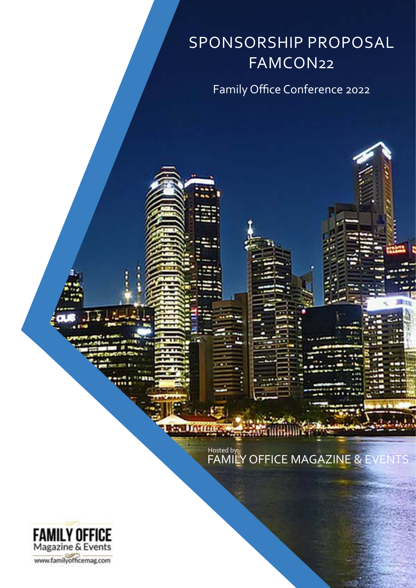# SPONSORSHIP PROPOSAL FAMCON22

Family Office Conference 2022

FAMILY OFFICE MAGAZINE & EVENTS

**EACH IIITH** 

Hosted by:

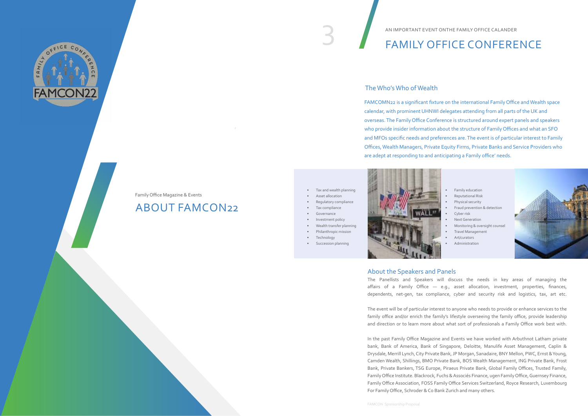#### AN IMPORTANT EVENT ONTHE FAMILY OFFICE CALANDER

### The Who's Who of Wealth

#### About the Speakers and Panels

The Panellists and Speakers will discuss the needs in key areas of managing the affairs of a Family Office — e.g., asset allocation, investment, properties, finances, dependents, net-gen, tax compliance, cyber and security risk and logistics, tax, art etc.

The event will be of particular interest to anyone who needs to provide or enhance services to the family office and/or enrich the family's lifestyle overseeing the family office, provide leadership and direction or to learn more about what sort of professionals a Family Office work best with.

- Tax and wealth planning
- Asset allocation
- Regulatory compliance
- Tax compliance
- Governance
- Investment policy
- Wealth transfer planning
- Philanthropic mission
- **Technology**
- Succession planning



In the past Family Office Magazine and Events we have worked with Arbuthnot Latham private bank, Bank of America, Bank of Singapore, Deloitte, Manulife Asset Management, Caplin & Drysdale, Merrill Lynch, City Private Bank, JP Morgan, Sanadaire, BNY Mellon, PWC, Ernst & Young, Camden Wealth, Shillings, BMO Private Bank, BOS Wealth Management, ING Private Bank, Frost Bank, Private Bankers, TSG Europe, Piraeus Private Bank, Global Family Offices, Trusted Family, Family Office Institute. Blackrock, Fuchs & Associés Finance, ugen Family Office, Guernsey Finance, Family Office Association, FOSS Family Office Services Switzerland, Royce Research, Luxembourg For Family Office, Schroder & Co Bank Zurich and many others.

FAMCOMN22 is a significant fixture on the international Family Office and Wealth space calendar, with prominent UHNWI delegates attending from all parts of the UK and overseas. The Family Office Conference is structured around expert panels and speakers who provide insider information about the structure of Family Offices and what an SFO and MFOs specific needs and preferences are. The event is of particular interest to Family Offices, Wealth Managers, Private Equity Firms, Private Banks and Service Providers who are adept at responding to and anticipating a Family office' needs.

- Family education
- Reputational Risk
- Physical security
- Fraud prevention & detection
- Cyber risk
- Next Generation
- Monitoring & oversight counsel
- Travel Management
- Art/curators
- Administration



## ABOUT FAMCON22

# AN IMPORTANT EVENT ONTHE FAMILY OFFICE CALANDER<br>FAMILY OFFICE CONFERENCE



### Family Office Magazine & Events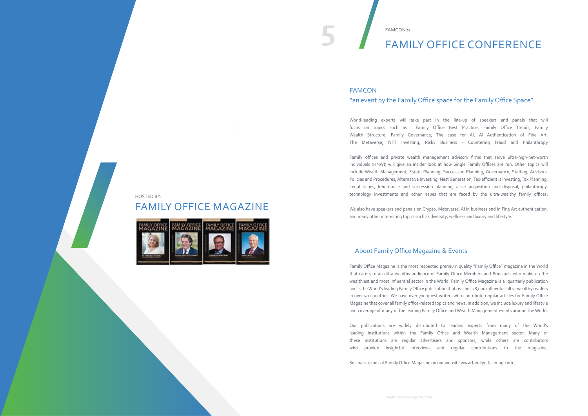5

## FAMILY OFFICE MAGAZINE



HOSTED BY:

Family Office Magazine is the most respected premium quality "Family Office" magazine in the World that caters to an ultra-wealthy audience of Family Office Members and Principals who make up the wealthiest and most influential sector in the World. Family Office Magazine is a quarterly publication and is the World's leading Family Office publication that reaches 28,000 influential ultra-wealthy readers in over 90 countries. We have over 700 guest writers who contribute regular articles for Family Office Magazine that cover all family office-related topics and news. In addition, we include luxury and lifestyle and coverage of many of the leading Family Office and Wealth Management events around the World.

Our publications are widely distributed to leading experts from many of the World's leading institutions within the Family Office and Wealth Management sector. Many of these institutions are regular advertisers and sponsors, while others are contributors who provide insightful interviews and regular contributions to the magazine.

See back issues of Family Office Magazine on our website www.familyofficemag.com

# 5 FAMILY OFFICE CONFERENCE

FAMCON22

## About Family Office Magazine & Events

## FAMCON "an event by the Family Office space for the Family Office Space"

World-leading experts will take part in the line-up of speakers and panels that will focus on topics such as Family Office Best Practice, Family Office Trends, Family Wealth Structure, Family Governance, The case for AI, AI Authentication of Fine Art, The Metaverse, NFT Investing, Risky Business - Countering Fraud and Philanthropy

Family offices and private wealth management advisory firms that serve ultra-high-net-worth individuals (HNWI) will give an insider look at how Single Family Offices are run. Other topics will include Wealth Management, Estate Planning, Succession Planning, Governance, Staffing, Advisors, Policies and Procedures, Alternative Investing, Nest Generation, Tax-efficient is investing, Tax Planning, Legal issues, Inheritance and succession planning, asset acquisition and disposal, philanthropy, technology investments and other issues that are faced by the ultra-wealthy family offices.

We also have speakers and panels on Crypto, Metaverse, AI in business and in Fine Art authentication, and many other interesting topics such as diversity, wellness and luxury and lifestyle.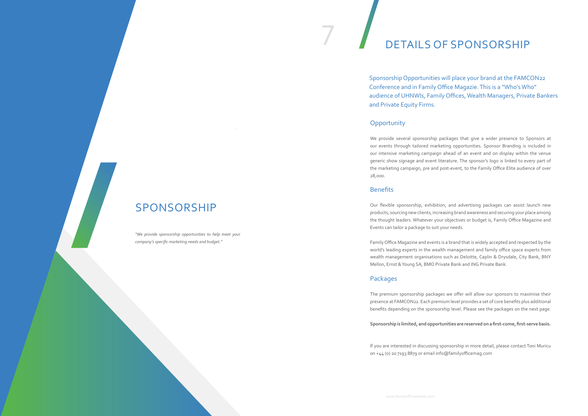7

# SPONSORSHIP

# DETAILS OF SPONSORSHIP

We provide several sponsorship packages that give a wider presence to Sponsors at our events through tailored marketing opportunities. Sponsor Branding is included in our intensive marketing campaign ahead of an event and on display within the venue generic show signage and event literature. The sponsor's logo is linked to every part of the marketing campaign, pre and post-event, to the Family Office Elite audience of over 28,000.

#### **Benefits**

Our flexible sponsorship, exhibition, and advertising packages can assist launch new products, sourcing new clients, increasing brand awareness and securing your place among the thought leaders. Whatever your objectives or budget is, Family Office Magazine and Events can tailor a package to suit your needs.

Family Office Magazine and events is a brand that is widely accepted and respected by the world's leading experts in the wealth management and family office space experts from wealth management organisations such as Deloitte, Caplin & Drysdale, City Bank, BNY Mellon, Ernst & Young SA, BMO Private Bank and ING Private Bank.

## Packages

The premium sponsorship packages we offer will allow our sponsors to maximise their presence at FAMCON22. Each premium level provides a set of core benefits plus additional benefits depending on the sponsorship level. Please see the packages on the next page.

**Sponsorship is limited, and opportunities are reserved on a first-come, first-serve basis.**

If you are interested in discussing sponsorship in more detail, please contact Toni Muricu on +44 (0) 20 7193 8879 or email info@familyofficemag.com

## Sponsorship Opportunities will place your brand at the FAMCON22 Conference and in Family Office Magazie. This is a "Who's Who" audience of UHNWIs, Family Offices, Wealth Managers, Private Bankers

and Private Equity Firms.

### **Opportunity**

*"We provide sponsorship opportunities to help meet your company's specific marketing needs and budget."*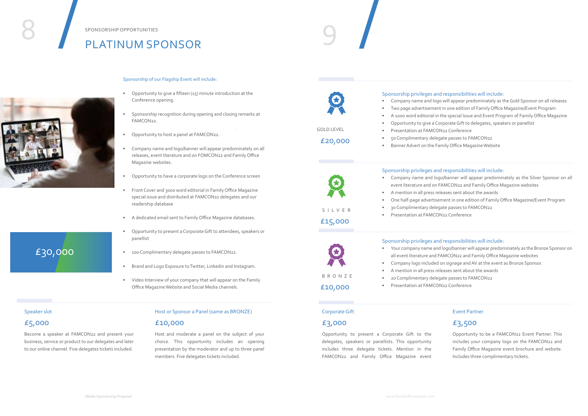## £30,000

# PLATINUM SPONSOR



#### Sponsorship of our Flagship Event will include:

- Opportunity to give a fifteen (15) minute introduction at the Conference opening.
- Sponsorship recognition during opening and closing remarks at FAMCON22.
- Opportunity to host a panel at FAMCON22.
- Company name and logo/banner will appear predominately on all releases, event literature and on FOMCON22 and Family Office Magazine websites.
- Opportunity to have a corporate logo on the Conference screen
- Front Cover and 3000 word editorial in Family Office Magazine special issue and distributed at FAMCON22 delegates and our readership database
- A dedicated email sent to Family Office Magazine databases.
- Opportunity to present a Corporate Gift to attendees, speakers or panellist
- 100 Complimentary delegate passes to FAMCON22.
- Brand and Logo Exposure to Twitter, Linkedin and Instagram.
- Video Interview of your company that will appear on the Family Office Magazine Website and Social Media channels.

Opportunity to present a Corporate Gift to the delegates, speakers or panellists. This opportunity includes three delegate tickets. Mention in the FAMCON22 and Family Office Magazine event

#### Corporate Gift

#### £3,000

Opportunity to be a FAMCON22 Event Partner. This includes your company logo on the FAMCON22 and Family Office Magazine event brochure and website. Includes three complimentary tickets.

#### Event Partner

## £3,500

Become a speaker at FAMCON22 and present your business, service or product to our delegates and later to our online channel. Five delegates tickets included.

#### Speaker slot

#### £5,000

Host and moderate a panel on the subject of your choice. This opportunity includes an opening presentation by the moderator and up to three panel members. Five delegates tickets included.

#### Host or Sponsor a Panel (same as BRONZE)

#### £10,000





£10,000

#### Sponsorship privileges and responsibilities will include:



- Company name and logo will appear predominately as the Gold Sponsor on all releases • Two page advertisement in one edition of Family Office Magazine/Event Program • A 1000 word editorial in the special Issue and Event Program of Family Office Magazine
	- Opportunity to give a Corporate Gift to delegates, speakers or panellist
		-
	- 50 Complimentary delegate passes to FAMCON22
	- Banner Advert on the Family Office Magazine Website

#### Sponsorship privileges and responsibilities will include:

- Company name and logo/banner will appear predominately as the Silver Sponsor on all event literature and on FAMCON22 and Family Office Magazine websites
- A mention in all press releases sent about the awards
- One half-page advertisement in one edition of Family Office Magazine/Event Program
- 30 Complimentary delegate passes to FAMCON22
- Presentation at FAMCON22 Conference

- Sponsorship privileges and responsibilities will include:
- Your company name and logo/banner will appear predominately as the Bronze Sponsor on all event literature and FAMCON22 and Family Office Magazine websites
- Company logo included on signage and AV at the event as Bronze Sponsor.
- A mention in all press releases sent about the awards
- 20 Complimentary delegate passes to FAMCON22
- Presentation at FAMCON22 Conference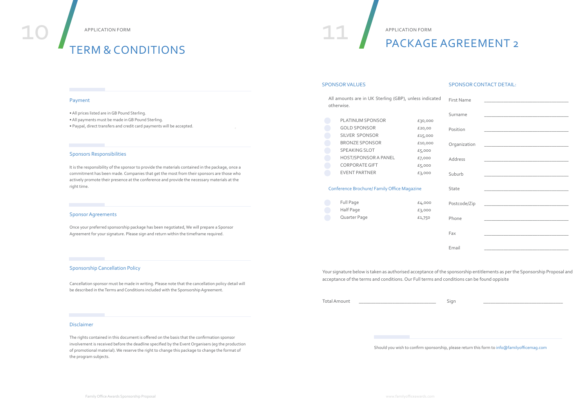| <b>First Name</b> |                                                                                           |
|-------------------|-------------------------------------------------------------------------------------------|
| Surname           | the control of the control of the control of the control of the control of                |
| Position          |                                                                                           |
| Organization      |                                                                                           |
| Address           | the control of the control of the control of the control of the control of                |
| Suburb            | the control of the control of the control of the control of the control of the control of |
| State             | the control of the control of the control of the control of the control of                |
| Postcode/Zip      | the control of the control of the control of the control of the control of                |
| Phone             |                                                                                           |
| Fax               |                                                                                           |
| Email             |                                                                                           |

Should you wish to confirm sponsorship, please return this form to info@familyofficemag.com

# APPLICATION FORM TERM & CONDITIONS

Your signature below is taken as authorised acceptance of the sponsorship entitlements as per the Sponsorship Proposal and acceptance of the terms and conditions. Our Full terms and conditions can be found oppisite

Total Amount \_\_\_\_\_\_\_\_\_\_\_\_\_\_\_\_\_\_\_\_\_\_\_\_\_\_\_\_\_\_\_\_ Sign \_\_\_\_\_\_\_\_\_\_\_\_\_\_\_\_\_\_\_\_\_\_\_\_\_\_\_\_\_\_\_\_\_

# PACKAGE AGREEMENT 2

#### SPONSOR VALUES SPONSOR CONTACT DETAIL:

All amounts are in UK Sterling (GBP), unless indicated otherwise.

| <b>PLATINUM SPONSOR</b>     | £30,000 |
|-----------------------------|---------|
| <b>GOLD SPONSOR</b>         | £20,00  |
| SILVER SPONSOR              | £15,000 |
| <b>BRONZE SPONSOR</b>       | £10,000 |
| <b>SPEAKING SLOT</b>        | £5,000  |
| <b>HOST/SPONSOR A PANEL</b> | £7,000  |
| <b>CORPORATE GIFT</b>       | £5,000  |
| <b>EVENT PARTNER</b>        | £3,000  |

#### Conference Brochure/ Family Office Magazine

| Full Page    | £4,000 |
|--------------|--------|
| Half Page    | £3,000 |
| Quarter Page | £1,750 |

#### Payment

- All prices listed are in GB Pound Sterling.
- All payments must be made in GB Pound Sterling.
- Paypal, direct transfers and credit card payments will be accepted.

#### Sponsors Responsibilities

It is the responsibility of the sponsor to provide the materials contained in the package, once a commitment has been made. Companies that get the most from their sponsors are those who actively promote their presence at the conference and provide the necessary materials at the right time.

#### Sponsor Agreements

Once your preferred sponsorship package has been negotiated, We will prepare a Sponsor Agreement for your signature. Please sign and return within the timeframe required.

#### Sponsorship Cancellation Policy

Cancellation sponsor must be made in writing. Please note that the cancellation policy detail will be described in the Terms and Conditions included with the Sponsorship Agreement.

#### Disclaimer

The rights contained in this document is offered on the basis that the confirmation sponsor involvement is received before the deadline specified by the Event Organisers (eg the production of promotional material). We reserve the right to change this package to change the format of the program subjects.